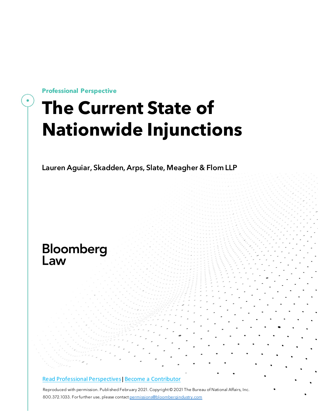**Professional Perspective**

# **The Current State of Nationwide Injunctions**

Lauren Aguiar, Skadden, Arps, Slate, Meagher & Flom LLP

# Bloomberg<br>Law

#### Read Professional [Perspectives](https://www.bloomberglaw.com/product/blaw/search/results/fce5c55b80fd6db95984633eb48fa7d5?utm_source=ACQ&utm_medium=PRP)| Become a [Contributor](https://pro.bloomberglaw.com/become-a-contributor/?utm_source=ACQ&utm_medium=PRP)

Reproduced with permission. Published February 2021. Copyright © 2021 The Bureau of National Affairs, Inc. 800.372.1033. For further use, please contact [permissions@bloombergindustry.com](mailto:permissions@bloombergindustry.com)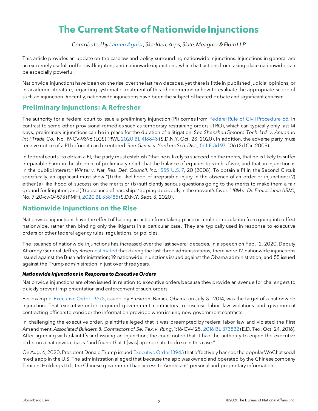# **The Current State of Nationwide Injunctions**

*Contributedby [Lauren](https://www.skadden.com/professionals/a/aguiar-lauren-e) Aguiar,Skadden,Arps,Slate,Meagher & FlomLLP*

This article provides an update on the caselaw and policy surrounding nationwide injunctions. Injunctions in general are an extremely useful tool for civil litigators, and nationwide injunctions, which halt actions from taking place nationwide, can be especially powerful.

Nationwide injunctionshave been on the rise over the last few decades, yet there is little in published judicial opinions, or in academic literature, regarding systematic treatment of this phenomenon or how to evaluate the appropriate scope of such an injunction. Recently, nationwide injunctions have been the subject of heated debate and significant criticism.

# **Preliminary Injunctions: A Refresher**

The authority for a federal court to issue a preliminary injunction (PI) comes from Federal Rule of Civil [Procedure](https://www.bloomberglaw.com/product/blaw/citation/fed%20r%20civ%20p%2065) 65. In contrast to some other provisional remedies such as temporary restraining orders (TRO), which can typically only last 14 days, preliminary injunctions can be in place for the duration of a litigation. See *Shenzhen Smoore Tech. Ltd. v. Anuonuo Int'l Trade Co.*, No. 19-CV-9896 (LGS) (RWL 2020 BL [413843](https://www.bloomberglaw.com/product/blaw/citation/2020%20bl%20413843) (S.D.N.Y. Oct. 23, 2020). In addition, the adverse party must receive notice of a PI before it can be entered. See *Garcia v. Yonkers Sch. Dist.*, 561 [F.3d](https://www.bloomberglaw.com/product/blaw/citation/561%20f%203d%2097) 97, 106 (2d Cir. 2009).

In federal courts, to obtain a PI, the party must establish "that he is likely to succeed on the merits, that he is likely to suffer irreparable harm in the absence of preliminary relief, that the balance of equities tips in his favor, and that an injunction is in the public interest." *Winter v. Nat. Res. Def. Council, Inc.*, 555 [U.S.](https://www.bloomberglaw.com/product/blaw/citation/555%20us%207) 7, 20 (2008). To obtain a PI in the Second Circuit specifically, an applicant must show "(1) the likelihood of irreparable injury in the absence of an order or injunction; (2) either (a) likelihood of success on the merits or (b) sufficiently serious questions going to the merits to make them a fair ground for litigation; and (3) a balance of hardships 'tipping decidedly in the movant's favor.'" *IBM v. De Freitas Lima (IBM)*, No. 7:20-cv-04573 (PMH), 2020 BL [338185](https://www.bloomberglaw.com/product/blaw/citation/2020%20bl%20338185) (S.D.N.Y. Sept. 3, 2020).

### **Nationwide Injunctions on the Rise**

Nationwide injunctions have the effect of halting an action from taking place or a rule or regulation from going into effect nationwide, rather than binding only the litigants in a particular case. They are typically used in response to executive orders or other federal agency rules, regulations, or policies.

The issuance of nationwide injunctions has increased over the last several decades. In a speech on Feb. 12, 2020, Deputy Attorney General Jeffrey Rosen [estimated](https://www.justice.gov/opa/speech/deputy-attorney-general-jeffrey-rosen-delivers-opening-remarks-forum-nationwide) that during the last three administrations, there were 12 nationwide injunctions issued against the Bush administration; 19 nationwide injunctions issued against the Obama administration; and 55 issued against the Trump administration in just over three years.

#### *Nationwide Injunctions in Response to Executive Orders*

Nationwide injunctions are often issued in relation to executive orders because they provide an avenue for challengers to quickly prevent implementation and enforcement of such orders.

For example, [Executive](https://www.bloomberglaw.com/product/blaw/citation/us%20executive%20order%2013673) Order 13673, issued by President Barack Obama on July 31, 2014, was the target of a nationwide injunction. That executive order required government contractors to disclose labor law violations and government contracting officers to consider the information provided when issuing new government contracts.

In challenging the executive order, plaintiffs alleged that it was preempted by federal labor law and violated the First Amendment.*Associated Builders & Contractorsof Se. Tex. v. Rung*,1:16-CV-425, 2016 BL [373832](https://www.bloomberglaw.com/product/blaw/citation/2016%20bl%20373832) (E.D. Tex. Oct. 24, 2016). After agreeing with plaintiffs and issuing an injunction, the court noted that it had the authority to enjoin the executive order on a nationwide basis "and found that it [was] appropriate to do so in this case."

On Aug. 6, 2020, President Donald Trump issued Executive [Order13943](https://www.bloomberglaw.com/product/blaw/citation/us%20executive%20order%2013943) that effectively bannedthe popularWeChat social mediaapp in the U.S. The administration alleged that because the app was owned and operated by the Chinese company Tencent Holdings Ltd., the Chinese government had access to Americans' personal and proprietary information.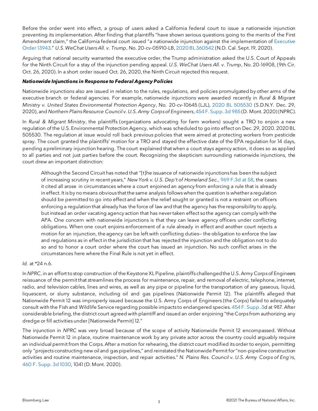Before the order went into effect, a group of users asked a California federal court to issue a nationwide injunction preventing its implementation. After finding that plaintiffs "have shown serious questions going to the merits of the First Amendment claim," the California federal court issued "a nationwide injunction against the implementation of [Executive](https://www.bloomberglaw.com/product/blaw/citation/us%20executive%20order%2013943) Order [13943.](https://www.bloomberglaw.com/product/blaw/citation/us%20executive%20order%2013943)" *U.S.WeChat UsersAll. v. Trump*, No. 20-cv-05910-LB, 2020 BL [360542](https://www.bloomberglaw.com/product/blaw/citation/2020%20bl%20360542) (N.D. Cal. Sept.19, 2020).

Arguing that national security warranted the executive order, the Trump administration asked the U.S. Court of Appeals for the Ninth Circuit for a stay of the injunction pending appeal. *U.S. WeChat Users All. v. Trump*, No. 20-16908, (9th Cir. Oct. 26, 2020). In a short order issued Oct. 26, 2020, the Ninth Circuit rejected this request.

#### *Nationwide Injunctions in Response to Federal Agency Policies*

Nationwide injunctions also are issued in relation to the rules, regulations, and policies promulgated by other arms of the executive branch or federal agencies. For example, nationwide injunctions were awarded recently in *Rural & Migrant Ministry v. United States Environmental Protection Agency*, No. 20-cv-10645 (LJL), 2020 BL [505530](https://www.bloomberglaw.com/product/blaw/citation/2020%20bl%20505530) (S.D.N.Y. Dec. 29, 2020), and *Northern PlainsResource Council v. U.S.Army Corpsof Engineers*, 454 F. [Supp.](https://www.bloomberglaw.com/product/blaw/citation/454%20f%20supp%203d%20985) 3d 985 (D. Mont. 2020) (NPRC).

In *Rural & Migrant Ministry*, the plaintiffs (organizations advocating for farm workers) sought a TRO to enjoin a new regulation of the U.S. Environmental Protection Agency, which was scheduled to gointo effect on Dec. 29, 2020. 2020 BL 505530. The regulation at issue would roll back previous policies that were aimed at protecting workers from pesticide spray. The court granted the plaintiffs' motion for a TRO and stayed the effective date of the EPA regulation for 14 days, pending apreliminary injunction hearing. The court explained that when a court stays agency action, it does so as applied to all parties and not just parties before the court. Recognizing the skepticism surrounding nationwide injunctions, the court drew an important distinction:

Although the Second Circuit has noted that "[t]he issuance of nationwide injunctionshas been the subject of increasing scrutiny in recent years," *New York v. U.S. Dep't of Homeland Sec.*, 969 [F.3d](https://www.bloomberglaw.com/product/blaw/citation/969%20f%203d%2058) at 58, the cases it cited all arose in circumstances where a court enjoined an agency from enforcing a rule that is already in effect. It isby nomeans obvious that the same analysis followswhen the question is whether aregulation should be permitted to go into effect and when the relief sought or granted is not a restraint on officers enforcing a regulation that already has the force of law and that the agency has the responsibility to apply, but instead an order vacating agency action that has nevertaken effect sothe agency can comply with the APA. One concern with nationwide injunctions is that they can leave agency officers under conflicting obligations. When one court enjoins enforcement of a rule already in effect and another court rejects a motion for an injunction, the agency can be left with conflicting duties— the obligation to enforce the law and regulations as in effect in the jurisdiction that has rejected the injunction and the obligation not to do so and to honor a court order where the court has issued an injunction. No such conflict arises in the circumstances here where the Final Rule is not yet in effect.

#### *Id.* at \*24 n.6.

In *NPRC*, in an effort to stop construction of the Keystone XL Pipeline, plaintiffs challenged the U.S. Army Corps of Engineers reissuance of the permit that streamlines the process for maintenance, repair, and removal of electric, telephone, internet, radio, and television cables, lines and wires, as well as any pipe or pipeline for the transportation of any gaseous, liquid, liquescent, or slurry substance, including oil and gas pipelines (Nationwide Permit 12). The plaintiffs alleged that Nationwide Permit 12 was improperly issued because the U.S. Army Corps of Engineers (the Corps) failed to adequately consult with the Fish and Wildlife Service regarding possible impacts to endangered species. 454 F. [Supp.](https://www.bloomberglaw.com/product/blaw/citation/454%20f%20supp%203) 3d at 987. After considerable briefing, the district court agreed with plaintiff and issued an order enjoining "the Corps from authorizing any dredge or fill activitiesunder [Nationwide Permit] 12."

The injunction in *NPRC* was very broad because of the scope of activity Nationwide Permit 12 encompassed. Without Nationwide Permit 12 in place, routine maintenance work by any private actor across the country could arguably require an individual permit from the Corps. After a motion for rehearing, the district court modified its order to enjoin, permitting only "projects constructing new oil and gaspipelines," and reinstated the Nationwide Permit for"non-pipeline construction activities and routine maintenance, inspection, and repair activities." *N. Plains Res. Council v. U.S. Army Corps of Eng'rs*, 460 F. [Supp.](https://www.bloomberglaw.com/product/blaw/citation/460%20f%20supp%203d%201030) 3d 1030, 1041 (D. Mont. 2020).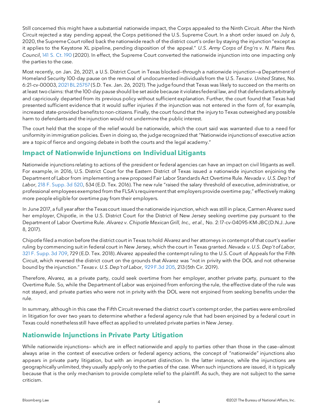Still concerned this might have a substantial nationwide impact, the Corps appealed to the Ninth Circuit. After the Ninth Circuit rejected a stay pending appeal, the Corps petitioned the U.S. Supreme Court. In a short order issued on July 6, 2020,the Supreme Court rolled back the nationwide reach of the district court's order by staying the injunction "except as it applies to the Keystone XL pipeline, pending disposition of the appeal." *U.S. Army Corps of Eng'rs v. N. Plains Res. Council*, 141 S. Ct. [190](https://www.bloomberglaw.com/product/blaw/citation/141%20supreme%20court%20190) (2020). In effect, the Supreme Court converted the nationwide injunction into one impacting only the parties to the case.

Most recently, on Jan. 26, 2021, a U.S. District Court in Texas blocked—through a nationwide injunction—a Department of Homeland Security 100-day pause on the removal of undocumented individuals from the U.S. *Texas v. United States*, No. 6:21-cv-00003, [2021BL](https://www.bloomberglaw.com/product/blaw/citation/2021%20bl%2025757) 25757 (S.D. Tex. Jan. 26, 2021). The judge found that Texas was likely to succeed on the merits on at least twoclaims: that the 100-day pause should be set aside because it violates federal law, and that defendants arbitrarily and capriciously departed from its previous policy without sufficient explanation. Further, the court found that Texas had presented sufficient evidence that it would suffer injuries if the injunction was not entered in the form of, for example, increased state-provided benefits tonon-citizens. Finally, the court found that the injury to Texas outweighed any possible harm to defendants and the injunction would not undermine the public interest.

The court held that the scope of the relief would be nationwide, which the court said was warranted due to a need for uniformity in immigration policies. Even in doing so, the judge recognized that "Nationwide injunctionsof executive action are a topic of fierce and ongoing debate in both the courts and the legal academy."

# **Impact of Nationwide Injunctions on Individual Litigants**

Nationwide injunctions relating to actions of the president or federal agencies can have an impact on civil litigants as well. For example, in 2016, U.S. District Court for the Eastern District of Texas issued a nationwide injunction enjoining the Department of Labor from implementing anew proposed Fair Labor Standards Act Overtime Rule. *Nevada v. U.S. Dep't of Labor*, 218 F. [Supp.](https://www.bloomberglaw.com/product/blaw/citation/218%20f%20supp%203d%20520) 3d 520, 534 (E.D. Tex. 2016). The new rule "raised the salary threshold of executive, administrative, or professional employees exempted from the FLSA's requirement that employers provide overtime pay," effectively making more people eligible for overtime pay from their employers.

In June 2017, a full year after the Texas court issued the nationwide injunction, which was still in place, Carmen Alvarez sued her employer, Chipotle, in the U.S. District Court for the District of New Jersey seeking overtime pay pursuant to the Department of Labor Overtime Rule. *Alvarez v. Chipotle Mexican Grill, Inc., et al.*, No. 2:17-cv-04095-KM-JBC(D.N.J. June 8, 2017).

Chipotle filed amotion before the district court in Texas tohold Alvarez and her attorneys in contempt of that court's earlier ruling by commencing suit in federal court in New Jersey, which the court in Texas granted. *Nevada v. U.S. Dep't of Labor*, 321 F. [Supp.](https://www.bloomberglaw.com/product/blaw/citation/321%20f%20supp%203d%20709) 3d 709, 729 (E.D. Tex. 2018). Alvarez appealed the contempt ruling to the U.S. Court of Appeals for the Fifth Circuit, which reversed the district court on the grounds that Alvarez was "not in privity with the DOL and not otherwise bound by the injunction." *Texas v. U.S. Dep't of Labor*, 929 F.3d [205,](https://www.bloomberglaw.com/product/blaw/citation/929%20f%203d%20205) 213 (5th Cir. 2019).

Therefore, Alvarez, as a private party, could seek overtime from her employer, another private party, pursuant to the Overtime Rule. So, while the Department of Labor was enjoined from enforcing the rule, the effective date of the rule was not stayed, and private parties who were not in privity with the DOL were not enjoined from seeking benefits under the rule.

In summary, although in this case the Fifth Circuit reversed the district court's contempt order, the parties were embroiled in litigation for over two years to determine whether a federal agency rule that had been enjoined by a federal court in Texas could nonetheless still have effect as applied to unrelated private parties in New Jersey.

# **Nationwide Injunctions in Private Party Litigation**

While nationwide injunctions— which are in effect nationwide and apply to parties other than those in the case—almost always arise in the context of executive orders or federal agency actions, the concept of "nationwide" injunctions also appears in private party litigation, but with an important distinction. In the latter instance, while the injunctions are geographically unlimited, they usually apply only to the parties of the case. When such injunctions are issued, it is typically because that is the only mechanism to provide complete relief to the plaintiff. As such, they are not subject to the same criticism.